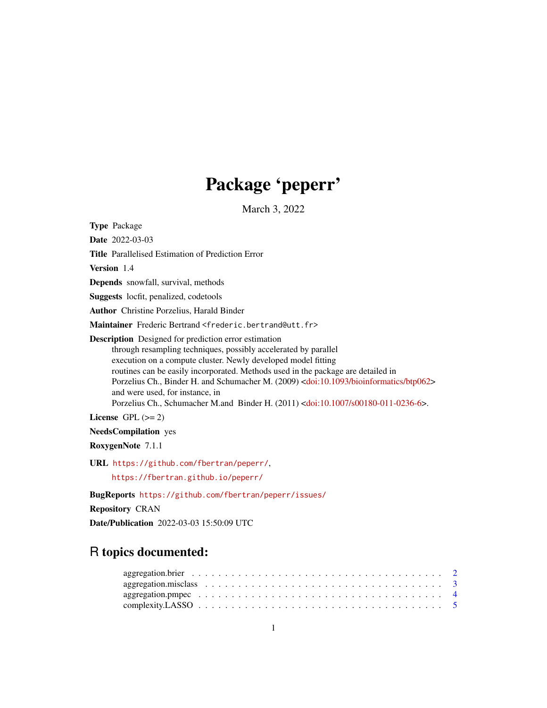# Package 'peperr'

March 3, 2022

<span id="page-0-0"></span>Type Package Date 2022-03-03 Title Parallelised Estimation of Prediction Error Version 1.4 Depends snowfall, survival, methods Suggests locfit, penalized, codetools Author Christine Porzelius, Harald Binder Maintainer Frederic Bertrand <frederic.bertrand@utt.fr> Description Designed for prediction error estimation through resampling techniques, possibly accelerated by parallel execution on a compute cluster. Newly developed model fitting routines can be easily incorporated. Methods used in the package are detailed in Porzelius Ch., Binder H. and Schumacher M. (2009) [<doi:10.1093/bioinformatics/btp062>](https://doi.org/10.1093/bioinformatics/btp062) and were used, for instance, in Porzelius Ch., Schumacher M.and Binder H. (2011) [<doi:10.1007/s00180-011-0236-6>](https://doi.org/10.1007/s00180-011-0236-6). License GPL  $(>= 2)$ NeedsCompilation yes RoxygenNote 7.1.1 URL <https://github.com/fbertran/peperr/>, <https://fbertran.github.io/peperr/> BugReports <https://github.com/fbertran/peperr/issues/>

Repository CRAN

Date/Publication 2022-03-03 15:50:09 UTC

# R topics documented: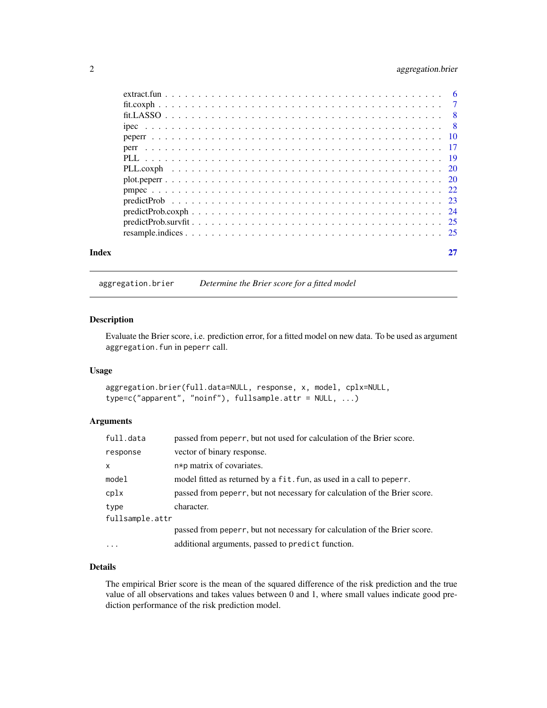# <span id="page-1-0"></span>2 aggregation.brier

| Index |  |
|-------|--|

aggregation.brier *Determine the Brier score for a fitted model*

# Description

Evaluate the Brier score, i.e. prediction error, for a fitted model on new data. To be used as argument aggregation.fun in peperr call.

#### Usage

aggregation.brier(full.data=NULL, response, x, model, cplx=NULL, type=c("apparent", "noinf"), fullsample.attr = NULL, ...)

# Arguments

| full.data       | passed from peperr, but not used for calculation of the Brier score.      |
|-----------------|---------------------------------------------------------------------------|
| response        | vector of binary response.                                                |
| $\mathsf{x}$    | n*p matrix of covariates.                                                 |
| model           | model fitted as returned by a fit. fun, as used in a call to peperr.      |
| cplx            | passed from peperr, but not necessary for calculation of the Brier score. |
| type            | character.                                                                |
| fullsample.attr |                                                                           |
|                 | passed from peperr, but not necessary for calculation of the Brier score. |
| $\ddotsc$       | additional arguments, passed to predict function.                         |

# Details

The empirical Brier score is the mean of the squared difference of the risk prediction and the true value of all observations and takes values between 0 and 1, where small values indicate good prediction performance of the risk prediction model.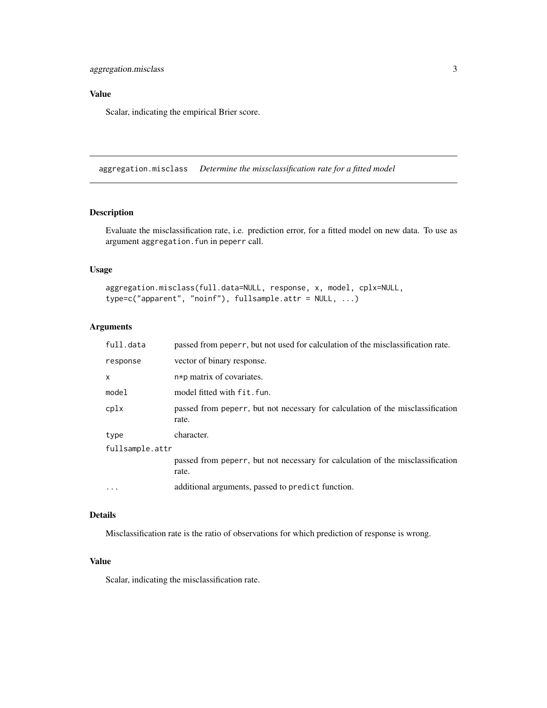# <span id="page-2-0"></span>Value

Scalar, indicating the empirical Brier score.

aggregation.misclass *Determine the missclassification rate for a fitted model*

# Description

Evaluate the misclassification rate, i.e. prediction error, for a fitted model on new data. To use as argument aggregation.fun in peperr call.

# Usage

```
aggregation.misclass(full.data=NULL, response, x, model, cplx=NULL,
type=c("apparent", "noinf"), fullsample.attr = NULL, ...)
```
# Arguments

| full.data       | passed from peperr, but not used for calculation of the misclassification rate.         |
|-----------------|-----------------------------------------------------------------------------------------|
| response        | vector of binary response.                                                              |
| X               | n*p matrix of covariates.                                                               |
| model           | model fitted with fit.fun.                                                              |
| cplx            | passed from peperr, but not necessary for calculation of the misclassification<br>rate. |
| type            | character.                                                                              |
| fullsample.attr |                                                                                         |
|                 | passed from peperr, but not necessary for calculation of the misclassification<br>rate. |
| $\ddots$        | additional arguments, passed to predict function.                                       |
|                 |                                                                                         |

## Details

Misclassification rate is the ratio of observations for which prediction of response is wrong.

# Value

Scalar, indicating the misclassification rate.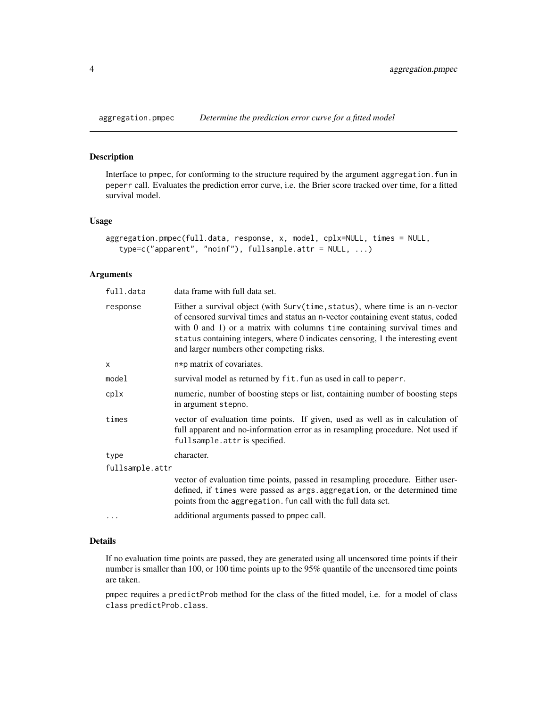<span id="page-3-0"></span>

# Description

Interface to pmpec, for conforming to the structure required by the argument aggregation.fun in peperr call. Evaluates the prediction error curve, i.e. the Brier score tracked over time, for a fitted survival model.

# Usage

```
aggregation.pmpec(full.data, response, x, model, cplx=NULL, times = NULL,
   type=c("apparent", "noinf"), fullsample.attr = NULL, ...)
```
#### Arguments

| full.data       | data frame with full data set.                                                                                                                                                                                                                                                                                                                                                      |  |  |  |  |
|-----------------|-------------------------------------------------------------------------------------------------------------------------------------------------------------------------------------------------------------------------------------------------------------------------------------------------------------------------------------------------------------------------------------|--|--|--|--|
| response        | Either a survival object (with Surv(time, status), where time is an n-vector<br>of censored survival times and status an n-vector containing event status, coded<br>with $0$ and $1$ ) or a matrix with columns time containing survival times and<br>status containing integers, where 0 indicates censoring, 1 the interesting event<br>and larger numbers other competing risks. |  |  |  |  |
| X               | n*p matrix of covariates.                                                                                                                                                                                                                                                                                                                                                           |  |  |  |  |
| model           | survival model as returned by fit. fun as used in call to peperr.                                                                                                                                                                                                                                                                                                                   |  |  |  |  |
| cplx            | numeric, number of boosting steps or list, containing number of boosting steps<br>in argument stepno.                                                                                                                                                                                                                                                                               |  |  |  |  |
| times           | vector of evaluation time points. If given, used as well as in calculation of<br>full apparent and no-information error as in resampling procedure. Not used if<br>fullsample.attr is specified.                                                                                                                                                                                    |  |  |  |  |
| type            | character.                                                                                                                                                                                                                                                                                                                                                                          |  |  |  |  |
| fullsample.attr |                                                                                                                                                                                                                                                                                                                                                                                     |  |  |  |  |
|                 | vector of evaluation time points, passed in resampling procedure. Either user-<br>defined, if times were passed as args. aggregation, or the determined time<br>points from the aggregation. fun call with the full data set.                                                                                                                                                       |  |  |  |  |
|                 | additional arguments passed to pmpec call.                                                                                                                                                                                                                                                                                                                                          |  |  |  |  |
|                 |                                                                                                                                                                                                                                                                                                                                                                                     |  |  |  |  |

# Details

If no evaluation time points are passed, they are generated using all uncensored time points if their number is smaller than 100, or 100 time points up to the 95% quantile of the uncensored time points are taken.

pmpec requires a predictProb method for the class of the fitted model, i.e. for a model of class class predictProb.class.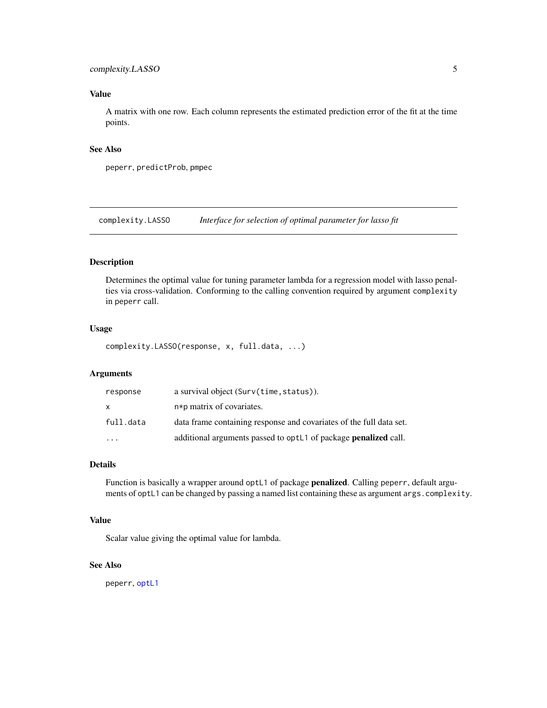# <span id="page-4-0"></span>complexity.LASSO 5

# Value

A matrix with one row. Each column represents the estimated prediction error of the fit at the time points.

# See Also

peperr, predictProb, pmpec

complexity.LASSO *Interface for selection of optimal parameter for lasso fit*

# Description

Determines the optimal value for tuning parameter lambda for a regression model with lasso penalties via cross-validation. Conforming to the calling convention required by argument complexity in peperr call.

# Usage

complexity.LASSO(response, x, full.data, ...)

# Arguments

| response  | a survival object (Surv(time, status)).                                |
|-----------|------------------------------------------------------------------------|
| X         | $n * p$ matrix of covariates.                                          |
| full.data | data frame containing response and covariates of the full data set.    |
| $\cdot$   | additional arguments passed to optL1 of package <b>penalized</b> call. |

# Details

Function is basically a wrapper around optL1 of package **penalized**. Calling peperr, default arguments of optL1 can be changed by passing a named list containing these as argument args.complexity.

# Value

Scalar value giving the optimal value for lambda.

# See Also

peperr, [optL1](#page-0-0)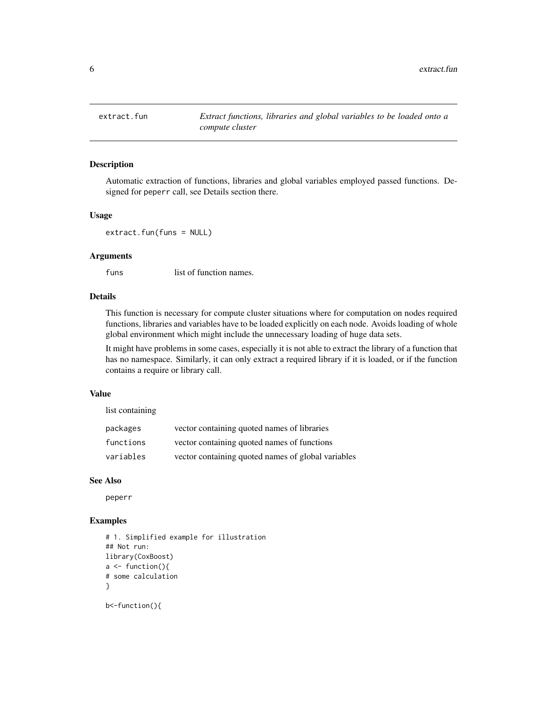<span id="page-5-1"></span><span id="page-5-0"></span>

#### Description

Automatic extraction of functions, libraries and global variables employed passed functions. Designed for peperr call, see Details section there.

# Usage

extract.fun(funs = NULL)

# Arguments

funs list of function names.

# Details

This function is necessary for compute cluster situations where for computation on nodes required functions, libraries and variables have to be loaded explicitly on each node. Avoids loading of whole global environment which might include the unnecessary loading of huge data sets.

It might have problems in some cases, especially it is not able to extract the library of a function that has no namespace. Similarly, it can only extract a required library if it is loaded, or if the function contains a require or library call.

# Value

list containing

| packages  | vector containing quoted names of libraries        |
|-----------|----------------------------------------------------|
| functions | vector containing quoted names of functions        |
| variables | vector containing quoted names of global variables |

#### See Also

peperr

# Examples

```
# 1. Simplified example for illustration
## Not run:
library(CoxBoost)
a \leftarrow function()# some calculation
}
b<-function(){
```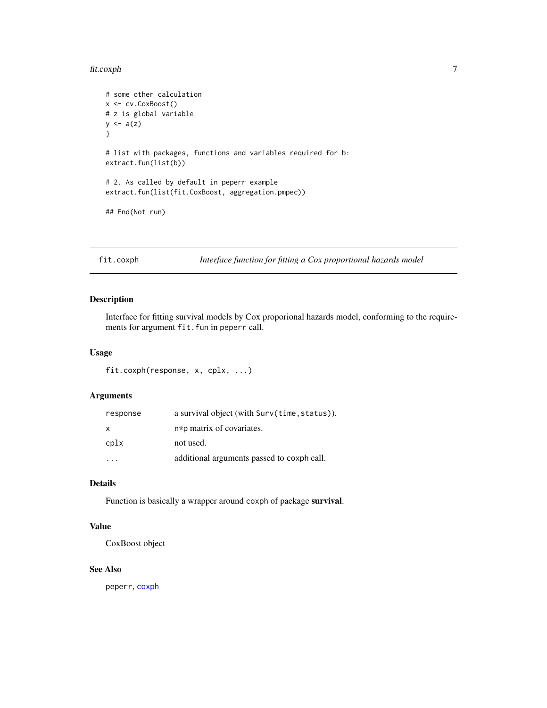#### <span id="page-6-0"></span>fit.coxph 7

```
# some other calculation
x <- cv.CoxBoost()
# z is global variable
y \leftarrow a(z)}
# list with packages, functions and variables required for b:
extract.fun(list(b))
# 2. As called by default in peperr example
extract.fun(list(fit.CoxBoost, aggregation.pmpec))
## End(Not run)
```
fit.coxph *Interface function for fitting a Cox proportional hazards model*

# Description

Interface for fitting survival models by Cox proporional hazards model, conforming to the requirements for argument fit.fun in peperr call.

# Usage

fit.coxph(response, x, cplx, ...)

# Arguments

| response | a survival object (with Surv(time, status)). |
|----------|----------------------------------------------|
| X        | $n * p$ matrix of covariates.                |
| cplx     | not used.                                    |
|          | additional arguments passed to coxph call.   |

# Details

Function is basically a wrapper around coxph of package survival.

# Value

CoxBoost object

#### See Also

peperr, [coxph](#page-0-0)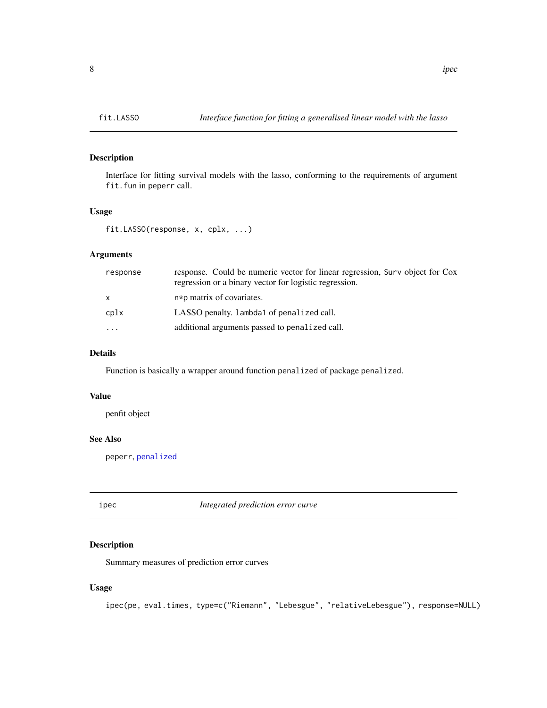# Description

Interface for fitting survival models with the lasso, conforming to the requirements of argument fit.fun in peperr call.

# Usage

```
fit.LASSO(response, x, cplx, ...)
```
### Arguments

| response | response. Could be numeric vector for linear regression, Surv object for Cox<br>regression or a binary vector for logistic regression. |
|----------|----------------------------------------------------------------------------------------------------------------------------------------|
| x        | n*p matrix of covariates.                                                                                                              |
| cplx     | LASSO penalty. Lambda1 of penalized call.                                                                                              |
| $\cdots$ | additional arguments passed to penalized call.                                                                                         |

# Details

Function is basically a wrapper around function penalized of package penalized.

#### Value

penfit object

# See Also

peperr, [penalized](#page-0-0)

<span id="page-7-1"></span>ipec *Integrated prediction error curve*

# Description

Summary measures of prediction error curves

#### Usage

```
ipec(pe, eval.times, type=c("Riemann", "Lebesgue", "relativeLebesgue"), response=NULL)
```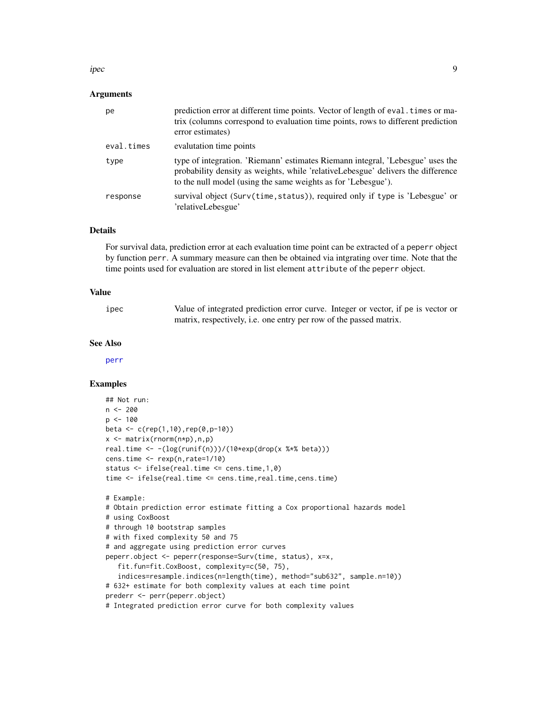#### <span id="page-8-0"></span>ipec 9

#### Arguments

| pe         | prediction error at different time points. Vector of length of eval. times or ma-<br>trix (columns correspond to evaluation time points, rows to different prediction<br>error estimates)                                           |
|------------|-------------------------------------------------------------------------------------------------------------------------------------------------------------------------------------------------------------------------------------|
| eval.times | evalutation time points                                                                                                                                                                                                             |
| type       | type of integration. 'Riemann' estimates Riemann integral, 'Lebesgue' uses the<br>probability density as weights, while 'relativeLebesgue' delivers the difference<br>to the null model (using the same weights as for 'Lebesgue'). |
| response   | survival object (Surv(time, status)), required only if type is 'Lebesgue' or<br>'relativeLebesgue'                                                                                                                                  |

# Details

For survival data, prediction error at each evaluation time point can be extracted of a peperr object by function perr. A summary measure can then be obtained via intgrating over time. Note that the time points used for evaluation are stored in list element attribute of the peperr object.

# Value

| ipec | Value of integrated prediction error curve. Integer or vector, if pe is vector or |
|------|-----------------------------------------------------------------------------------|
|      | matrix, respectively, i.e. one entry per row of the passed matrix.                |

#### See Also

[perr](#page-16-1)

# Examples

```
## Not run:
n <- 200
p <- 100
beta \leq c (rep(1,10), rep(0, p-10))
x \leq - matrix(rnorm(n \star p), n, p)
real.time <- -(log(runif(n)))/(10*exp(drop(x %*% beta)))
cens.time <- rexp(n,rate=1/10)
status <- ifelse(real.time <= cens.time,1,0)
time <- ifelse(real.time <= cens.time,real.time,cens.time)
# Example:
# Obtain prediction error estimate fitting a Cox proportional hazards model
# using CoxBoost
# through 10 bootstrap samples
# with fixed complexity 50 and 75
# and aggregate using prediction error curves
peperr.object <- peperr(response=Surv(time, status), x=x,
   fit.fun=fit.CoxBoost, complexity=c(50, 75),
   indices=resample.indices(n=length(time), method="sub632", sample.n=10))
# 632+ estimate for both complexity values at each time point
prederr <- perr(peperr.object)
# Integrated prediction error curve for both complexity values
```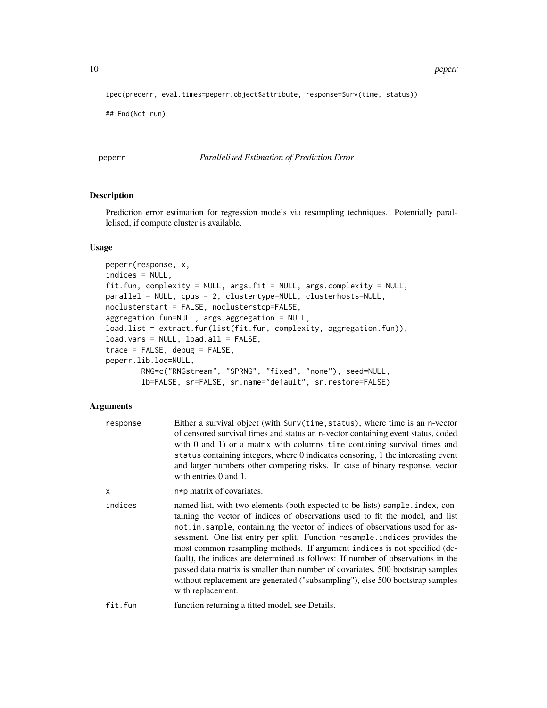<span id="page-9-0"></span>10 peperr

ipec(prederr, eval.times=peperr.object\$attribute, response=Surv(time, status))

## End(Not run)

<span id="page-9-1"></span>peperr *Parallelised Estimation of Prediction Error*

# Description

Prediction error estimation for regression models via resampling techniques. Potentially parallelised, if compute cluster is available.

#### Usage

```
peperr(response, x,
indices = NULL,
fit.fun, complexity = NULL, args.fit = NULL, args.complexity = NULL,
parallel = NULL, cpus = 2, clustertype=NULL, clusterhosts=NULL,
noclusterstart = FALSE, noclusterstop=FALSE,
aggregation.fun=NULL, args.aggregation = NULL,
load.list = extract.fun(list(fit.fun, complexity, aggregation.fun)),
load.vars = NULL, load.all = FALSE,
trace = FALSE, debug = FALSE,
peperr.lib.loc=NULL,
       RNG=c("RNGstream", "SPRNG", "fixed", "none"), seed=NULL,
       lb=FALSE, sr=FALSE, sr.name="default", sr.restore=FALSE)
```
# Arguments

| response | Either a survival object (with Surv(time, status), where time is an n-vector<br>of censored survival times and status an n-vector containing event status, coded<br>with $0$ and $1$ ) or a matrix with columns time containing survival times and<br>status containing integers, where 0 indicates censoring, 1 the interesting event<br>and larger numbers other competing risks. In case of binary response, vector<br>with entries 0 and 1.                                                                                                                                                                                                                                     |
|----------|-------------------------------------------------------------------------------------------------------------------------------------------------------------------------------------------------------------------------------------------------------------------------------------------------------------------------------------------------------------------------------------------------------------------------------------------------------------------------------------------------------------------------------------------------------------------------------------------------------------------------------------------------------------------------------------|
| x        | $n * p$ matrix of covariates.                                                                                                                                                                                                                                                                                                                                                                                                                                                                                                                                                                                                                                                       |
| indices  | named list, with two elements (both expected to be lists) sample index, con-<br>taining the vector of indices of observations used to fit the model, and list<br>not.in.sample, containing the vector of indices of observations used for as-<br>sessment. One list entry per split. Function resample indices provides the<br>most common resampling methods. If argument indices is not specified (de-<br>fault), the indices are determined as follows: If number of observations in the<br>passed data matrix is smaller than number of covariates, 500 bootstrap samples<br>without replacement are generated ("subsampling"), else 500 bootstrap samples<br>with replacement. |
| fit.fun  | function returning a fitted model, see Details.                                                                                                                                                                                                                                                                                                                                                                                                                                                                                                                                                                                                                                     |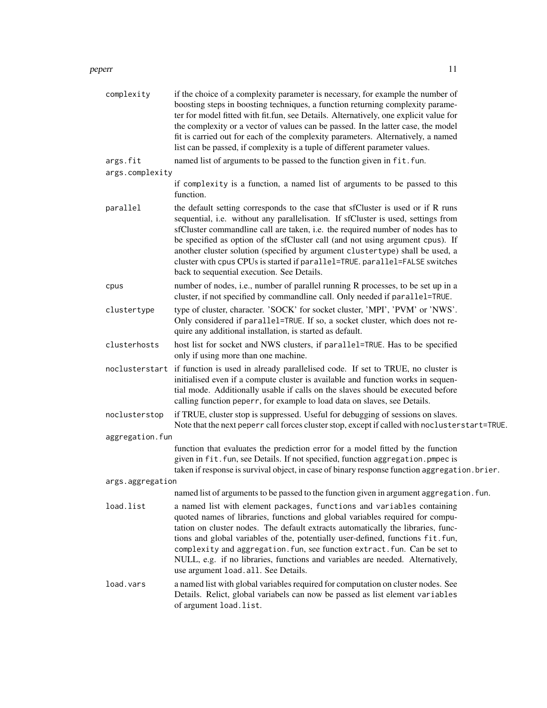#### peperr and the set of the set of the set of the set of the set of the set of the set of the set of the set of the set of the set of the set of the set of the set of the set of the set of the set of the set of the set of th

| complexity       | if the choice of a complexity parameter is necessary, for example the number of<br>boosting steps in boosting techniques, a function returning complexity parame-<br>ter for model fitted with fit.fun, see Details. Alternatively, one explicit value for<br>the complexity or a vector of values can be passed. In the latter case, the model<br>fit is carried out for each of the complexity parameters. Alternatively, a named<br>list can be passed, if complexity is a tuple of different parameter values.                                     |
|------------------|--------------------------------------------------------------------------------------------------------------------------------------------------------------------------------------------------------------------------------------------------------------------------------------------------------------------------------------------------------------------------------------------------------------------------------------------------------------------------------------------------------------------------------------------------------|
| args.fit         | named list of arguments to be passed to the function given in fit. fun.                                                                                                                                                                                                                                                                                                                                                                                                                                                                                |
| args.complexity  |                                                                                                                                                                                                                                                                                                                                                                                                                                                                                                                                                        |
|                  | if complexity is a function, a named list of arguments to be passed to this<br>function.                                                                                                                                                                                                                                                                                                                                                                                                                                                               |
| parallel         | the default setting corresponds to the case that sfCluster is used or if R runs<br>sequential, i.e. without any parallelisation. If sfCluster is used, settings from<br>sfCluster commandline call are taken, i.e. the required number of nodes has to<br>be specified as option of the sfCluster call (and not using argument cpus). If<br>another cluster solution (specified by argument clustertype) shall be used, a<br>cluster with cpus CPUs is started if parallel=TRUE. parallel=FALSE switches<br>back to sequential execution. See Details. |
| cpus             | number of nodes, i.e., number of parallel running R processes, to be set up in a<br>cluster, if not specified by commandline call. Only needed if parallel=TRUE.                                                                                                                                                                                                                                                                                                                                                                                       |
| clustertype      | type of cluster, character. 'SOCK' for socket cluster, 'MPI', 'PVM' or 'NWS'.<br>Only considered if parallel=TRUE. If so, a socket cluster, which does not re-<br>quire any additional installation, is started as default.                                                                                                                                                                                                                                                                                                                            |
| clusterhosts     | host list for socket and NWS clusters, if parallel=TRUE. Has to be specified<br>only if using more than one machine.                                                                                                                                                                                                                                                                                                                                                                                                                                   |
|                  | noclusterstart if function is used in already parallelised code. If set to TRUE, no cluster is<br>initialised even if a compute cluster is available and function works in sequen-<br>tial mode. Additionally usable if calls on the slaves should be executed before<br>calling function peperr, for example to load data on slaves, see Details.                                                                                                                                                                                                     |
| noclusterstop    | if TRUE, cluster stop is suppressed. Useful for debugging of sessions on slaves.<br>Note that the next peperr call forces cluster stop, except if called with noclusterstart=TRUE.                                                                                                                                                                                                                                                                                                                                                                     |
| aggregation.fun  |                                                                                                                                                                                                                                                                                                                                                                                                                                                                                                                                                        |
|                  | function that evaluates the prediction error for a model fitted by the function<br>given in fit. fun, see Details. If not specified, function aggregation. pmpec is<br>taken if response is survival object, in case of binary response function aggregation. brier.                                                                                                                                                                                                                                                                                   |
| args.aggregation |                                                                                                                                                                                                                                                                                                                                                                                                                                                                                                                                                        |
|                  | named list of arguments to be passed to the function given in argument aggregation. fun.                                                                                                                                                                                                                                                                                                                                                                                                                                                               |
| load.list        | a named list with element packages, functions and variables containing<br>quoted names of libraries, functions and global variables required for compu-<br>tation on cluster nodes. The default extracts automatically the libraries, func-<br>tions and global variables of the, potentially user-defined, functions fit.fun,<br>complexity and aggregation. fun, see function extract. fun. Can be set to<br>NULL, e.g. if no libraries, functions and variables are needed. Alternatively,<br>use argument load. all. See Details.                  |
| load.vars        | a named list with global variables required for computation on cluster nodes. See<br>Details. Relict, global variabels can now be passed as list element variables<br>of argument load. list.                                                                                                                                                                                                                                                                                                                                                          |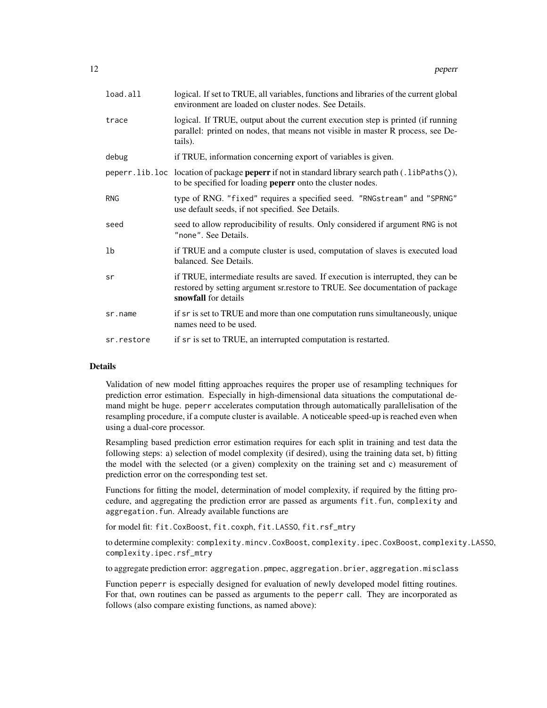| load.all   | logical. If set to TRUE, all variables, functions and libraries of the current global<br>environment are loaded on cluster nodes. See Details.                                             |
|------------|--------------------------------------------------------------------------------------------------------------------------------------------------------------------------------------------|
| trace      | logical. If TRUE, output about the current execution step is printed (if running<br>parallel: printed on nodes, that means not visible in master R process, see De-<br>tails).             |
| debug      | if TRUE, information concerning export of variables is given.                                                                                                                              |
|            | peperr.lib.loc location of package <b>peperr</b> if not in standard library search path (.1ibPaths()),<br>to be specified for loading <b>peperr</b> onto the cluster nodes.                |
| <b>RNG</b> | type of RNG. "fixed" requires a specified seed. "RNGstream" and "SPRNG"<br>use default seeds, if not specified. See Details.                                                               |
| seed       | seed to allow reproducibility of results. Only considered if argument RNG is not<br>"none". See Details.                                                                                   |
| 1b         | if TRUE and a compute cluster is used, computation of slaves is executed load<br>balanced. See Details.                                                                                    |
| sr         | if TRUE, intermediate results are saved. If execution is interrupted, they can be<br>restored by setting argument sr.restore to TRUE. See documentation of package<br>snowfall for details |
| sr.name    | if sr is set to TRUE and more than one computation runs simultaneously, unique<br>names need to be used.                                                                                   |
| sr.restore | if sr is set to TRUE, an interrupted computation is restarted.                                                                                                                             |

# **Details**

Validation of new model fitting approaches requires the proper use of resampling techniques for prediction error estimation. Especially in high-dimensional data situations the computational demand might be huge. peperr accelerates computation through automatically parallelisation of the resampling procedure, if a compute cluster is available. A noticeable speed-up is reached even when using a dual-core processor.

Resampling based prediction error estimation requires for each split in training and test data the following steps: a) selection of model complexity (if desired), using the training data set, b) fitting the model with the selected (or a given) complexity on the training set and c) measurement of prediction error on the corresponding test set.

Functions for fitting the model, determination of model complexity, if required by the fitting procedure, and aggregating the prediction error are passed as arguments fit.fun, complexity and aggregation.fun. Already available functions are

for model fit: fit.CoxBoost, fit.coxph, fit.LASSO, fit.rsf\_mtry

to determine complexity: complexity.mincv.CoxBoost, complexity.ipec.CoxBoost, complexity.LASSO, complexity.ipec.rsf\_mtry

to aggregate prediction error: aggregation.pmpec, aggregation.brier, aggregation.misclass

Function peperr is especially designed for evaluation of newly developed model fitting routines. For that, own routines can be passed as arguments to the peperr call. They are incorporated as follows (also compare existing functions, as named above):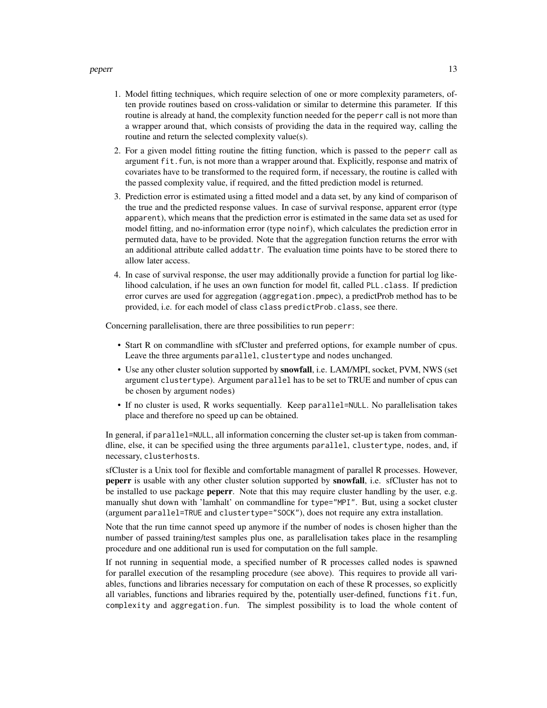#### peperr and the set of the set of the set of the set of the set of the set of the set of the set of the set of the set of the set of the set of the set of the set of the set of the set of the set of the set of the set of th

- 1. Model fitting techniques, which require selection of one or more complexity parameters, often provide routines based on cross-validation or similar to determine this parameter. If this routine is already at hand, the complexity function needed for the peperr call is not more than a wrapper around that, which consists of providing the data in the required way, calling the routine and return the selected complexity value(s).
- 2. For a given model fitting routine the fitting function, which is passed to the peperr call as argument fit. fun, is not more than a wrapper around that. Explicitly, response and matrix of covariates have to be transformed to the required form, if necessary, the routine is called with the passed complexity value, if required, and the fitted prediction model is returned.
- 3. Prediction error is estimated using a fitted model and a data set, by any kind of comparison of the true and the predicted response values. In case of survival response, apparent error (type apparent), which means that the prediction error is estimated in the same data set as used for model fitting, and no-information error (type noinf), which calculates the prediction error in permuted data, have to be provided. Note that the aggregation function returns the error with an additional attribute called addattr. The evaluation time points have to be stored there to allow later access.
- 4. In case of survival response, the user may additionally provide a function for partial log likelihood calculation, if he uses an own function for model fit, called PLL.class. If prediction error curves are used for aggregation (aggregation.pmpec), a predictProb method has to be provided, i.e. for each model of class class predictProb.class, see there.

Concerning parallelisation, there are three possibilities to run peperr:

- Start R on commandline with sfCluster and preferred options, for example number of cpus. Leave the three arguments parallel, clustertype and nodes unchanged.
- Use any other cluster solution supported by snowfall, i.e. LAM/MPI, socket, PVM, NWS (set argument clustertype). Argument parallel has to be set to TRUE and number of cpus can be chosen by argument nodes)
- If no cluster is used, R works sequentially. Keep parallel=NULL. No parallelisation takes place and therefore no speed up can be obtained.

In general, if parallel=NULL, all information concerning the cluster set-up is taken from commandline, else, it can be specified using the three arguments parallel, clustertype, nodes, and, if necessary, clusterhosts.

sfCluster is a Unix tool for flexible and comfortable managment of parallel R processes. However, peperr is usable with any other cluster solution supported by **snowfall**, i.e. sfCluster has not to be installed to use package **peperr**. Note that this may require cluster handling by the user, e.g. manually shut down with 'lamhalt' on commandline for type="MPI". But, using a socket cluster (argument parallel=TRUE and clustertype="SOCK"), does not require any extra installation.

Note that the run time cannot speed up anymore if the number of nodes is chosen higher than the number of passed training/test samples plus one, as parallelisation takes place in the resampling procedure and one additional run is used for computation on the full sample.

If not running in sequential mode, a specified number of R processes called nodes is spawned for parallel execution of the resampling procedure (see above). This requires to provide all variables, functions and libraries necessary for computation on each of these R processes, so explicitly all variables, functions and libraries required by the, potentially user-defined, functions fit.fun, complexity and aggregation.fun. The simplest possibility is to load the whole content of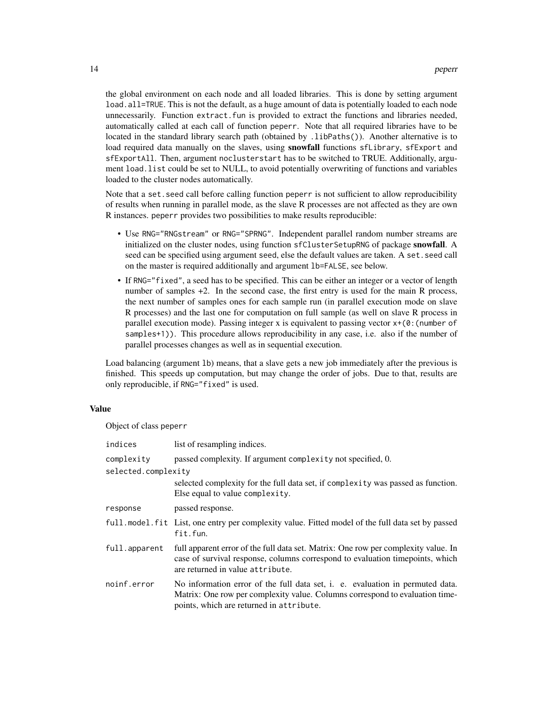the global environment on each node and all loaded libraries. This is done by setting argument load.all=TRUE. This is not the default, as a huge amount of data is potentially loaded to each node unnecessarily. Function extract.fun is provided to extract the functions and libraries needed, automatically called at each call of function peperr. Note that all required libraries have to be located in the standard library search path (obtained by .libPaths()). Another alternative is to load required data manually on the slaves, using snowfall functions sfLibrary, sfExport and sfExportAll. Then, argument noclusterstart has to be switched to TRUE. Additionally, argument load.list could be set to NULL, to avoid potentially overwriting of functions and variables loaded to the cluster nodes automatically.

Note that a set. seed call before calling function peperr is not sufficient to allow reproducibility of results when running in parallel mode, as the slave R processes are not affected as they are own R instances. peperr provides two possibilities to make results reproducible:

- Use RNG="RNGstream" or RNG="SPRNG". Independent parallel random number streams are initialized on the cluster nodes, using function sfClusterSetupRNG of package snowfall. A seed can be specified using argument seed, else the default values are taken. A set.seed call on the master is required additionally and argument lb=FALSE, see below.
- If RNG="fixed", a seed has to be specified. This can be either an integer or a vector of length number of samples +2. In the second case, the first entry is used for the main R process, the next number of samples ones for each sample run (in parallel execution mode on slave R processes) and the last one for computation on full sample (as well on slave R process in parallel execution mode). Passing integer x is equivalent to passing vector  $x+(\theta)$ : (number of samples+1)). This procedure allows reproducibility in any case, i.e. also if the number of parallel processes changes as well as in sequential execution.

Load balancing (argument lb) means, that a slave gets a new job immediately after the previous is finished. This speeds up computation, but may change the order of jobs. Due to that, results are only reproducible, if RNG="fixed" is used.

# Value

Object of class peperr

| indices             | list of resampling indices.                                                                                                                                                                               |
|---------------------|-----------------------------------------------------------------------------------------------------------------------------------------------------------------------------------------------------------|
| complexity          | passed complexity. If argument complexity not specified, 0.                                                                                                                                               |
| selected.complexity |                                                                                                                                                                                                           |
|                     | selected complexity for the full data set, if complexity was passed as function.<br>Else equal to value complexity.                                                                                       |
| response            | passed response.                                                                                                                                                                                          |
|                     | full model fit List, one entry per complexity value. Fitted model of the full data set by passed<br>fit.fun.                                                                                              |
| full.apparent       | full apparent error of the full data set. Matrix: One row per complexity value. In<br>case of survival response, columns correspond to evaluation time points, which<br>are returned in value attribute.  |
| noinf.error         | No information error of the full data set, i. e. evaluation in permuted data.<br>Matrix: One row per complexity value. Columns correspond to evaluation time-<br>points, which are returned in attribute. |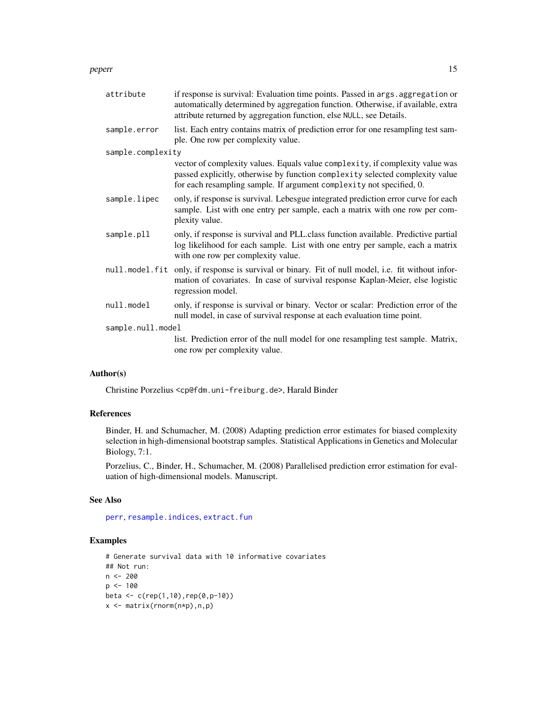#### <span id="page-14-0"></span>peperr and the set of the set of the set of the set of the set of the set of the set of the set of the set of the set of the set of the set of the set of the set of the set of the set of the set of the set of the set of th

| attribute         | if response is survival: Evaluation time points. Passed in args. aggregation or<br>automatically determined by aggregation function. Otherwise, if available, extra<br>attribute returned by aggregation function, else NULL, see Details. |  |
|-------------------|--------------------------------------------------------------------------------------------------------------------------------------------------------------------------------------------------------------------------------------------|--|
| sample.error      | list. Each entry contains matrix of prediction error for one resampling test sam-<br>ple. One row per complexity value.                                                                                                                    |  |
| sample.complexity |                                                                                                                                                                                                                                            |  |
|                   | vector of complexity values. Equals value complexity, if complexity value was<br>passed explicitly, otherwise by function complexity selected complexity value<br>for each resampling sample. If argument complexity not specified, 0.     |  |
| sample.lipec      | only, if response is survival. Lebesgue integrated prediction error curve for each<br>sample. List with one entry per sample, each a matrix with one row per com-<br>plexity value.                                                        |  |
| sample.pll        | only, if response is survival and PLL.class function available. Predictive partial<br>log likelihood for each sample. List with one entry per sample, each a matrix<br>with one row per complexity value.                                  |  |
|                   | null.model.fit only, if response is survival or binary. Fit of null model, i.e. fit without infor-<br>mation of covariates. In case of survival response Kaplan-Meier, else logistic<br>regression model.                                  |  |
| null.model        | only, if response is survival or binary. Vector or scalar: Prediction error of the<br>null model, in case of survival response at each evaluation time point.                                                                              |  |
| sample.null.model |                                                                                                                                                                                                                                            |  |
|                   | list. Prediction error of the null model for one resampling test sample. Matrix,<br>one row per complexity value.                                                                                                                          |  |
|                   |                                                                                                                                                                                                                                            |  |

# Author(s)

Christine Porzelius <cp@fdm.uni-freiburg.de>, Harald Binder

# References

Binder, H. and Schumacher, M. (2008) Adapting prediction error estimates for biased complexity selection in high-dimensional bootstrap samples. Statistical Applications in Genetics and Molecular Biology, 7:1.

Porzelius, C., Binder, H., Schumacher, M. (2008) Parallelised prediction error estimation for evaluation of high-dimensional models. Manuscript.

# See Also

[perr](#page-16-1), [resample.indices](#page-24-1), [extract.fun](#page-5-1)

# Examples

```
# Generate survival data with 10 informative covariates
## Not run:
n <- 200
p <- 100
beta <- c(rep(1,10),rep(0,p-10))
x <- matrix(rnorm(n*p),n,p)
```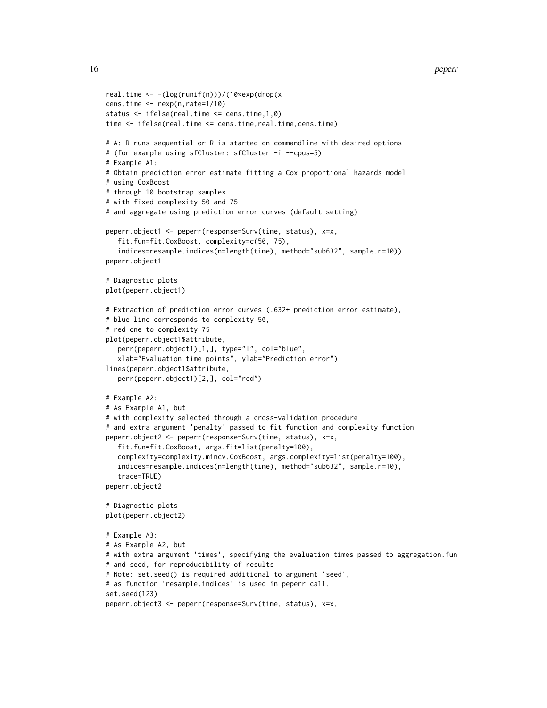```
real.time <- -(log(runif(n)))/(10*exp(drop(x
cens.time <- rexp(n,rate=1/10)
status <- ifelse(real.time <= cens.time,1,0)
time <- ifelse(real.time <= cens.time,real.time,cens.time)
# A: R runs sequential or R is started on commandline with desired options
# (for example using sfCluster: sfCluster -i --cpus=5)
# Example A1:
# Obtain prediction error estimate fitting a Cox proportional hazards model
# using CoxBoost
# through 10 bootstrap samples
# with fixed complexity 50 and 75
# and aggregate using prediction error curves (default setting)
peperr.object1 <- peperr(response=Surv(time, status), x=x,
   fit.fun=fit.CoxBoost, complexity=c(50, 75),
   indices=resample.indices(n=length(time), method="sub632", sample.n=10))
peperr.object1
# Diagnostic plots
plot(peperr.object1)
# Extraction of prediction error curves (.632+ prediction error estimate),
# blue line corresponds to complexity 50,
# red one to complexity 75
plot(peperr.object1$attribute,
   perr(peperr.object1)[1,], type="l", col="blue",
   xlab="Evaluation time points", ylab="Prediction error")
lines(peperr.object1$attribute,
   perr(peperr.object1)[2,], col="red")
# Example A2:
# As Example A1, but
# with complexity selected through a cross-validation procedure
# and extra argument 'penalty' passed to fit function and complexity function
peperr.object2 <- peperr(response=Surv(time, status), x=x,
   fit.fun=fit.CoxBoost, args.fit=list(penalty=100),
   complexity=complexity.mincv.CoxBoost, args.complexity=list(penalty=100),
   indices=resample.indices(n=length(time), method="sub632", sample.n=10),
   trace=TRUE)
peperr.object2
# Diagnostic plots
plot(peperr.object2)
# Example A3:
# As Example A2, but
# with extra argument 'times', specifying the evaluation times passed to aggregation.fun
# and seed, for reproducibility of results
# Note: set.seed() is required additional to argument 'seed',
# as function 'resample.indices' is used in peperr call.
set.seed(123)
peperr.object3 <- peperr(response=Surv(time, status), x=x,
```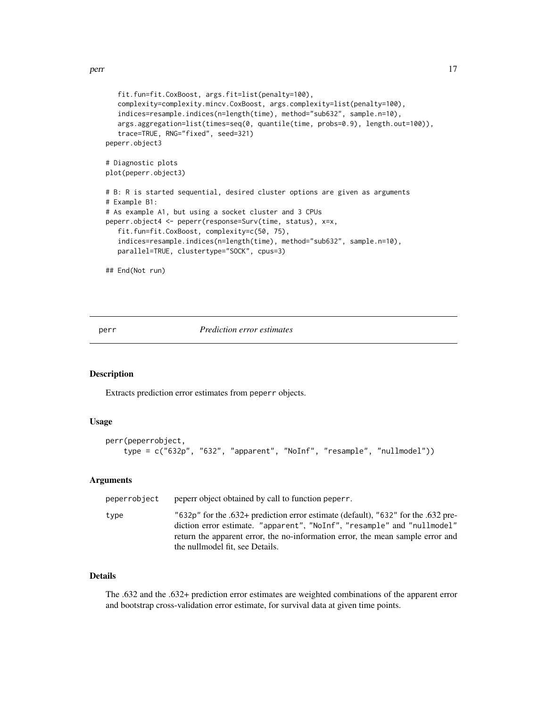```
fit.fun=fit.CoxBoost, args.fit=list(penalty=100),
  complexity=complexity.mincv.CoxBoost, args.complexity=list(penalty=100),
  indices=resample.indices(n=length(time), method="sub632", sample.n=10),
  args.aggregation=list(times=seq(0, quantile(time, probs=0.9), length.out=100)),
  trace=TRUE, RNG="fixed", seed=321)
peperr.object3
# Diagnostic plots
plot(peperr.object3)
# B: R is started sequential, desired cluster options are given as arguments
# Example B1:
# As example A1, but using a socket cluster and 3 CPUs
peperr.object4 <- peperr(response=Surv(time, status), x=x,
   fit.fun=fit.CoxBoost, complexity=c(50, 75),
   indices=resample.indices(n=length(time), method="sub632", sample.n=10),
  parallel=TRUE, clustertype="SOCK", cpus=3)
## End(Not run)
```
<span id="page-16-1"></span>perr *Prediction error estimates*

# Description

Extracts prediction error estimates from peperr objects.

#### Usage

```
perr(peperrobject,
    type = c("632p", "632", "apparent", "NoInf", "resample", "nullmodel"))
```
#### Arguments

| peperrobject | peperr object obtained by call to function peperr.                                                                                                                                                                                                                                |
|--------------|-----------------------------------------------------------------------------------------------------------------------------------------------------------------------------------------------------------------------------------------------------------------------------------|
| type         | "632p" for the .632+ prediction error estimate (default), "632" for the .632 pre-<br>diction error estimate. "apparent", "NoInf", "resample" and "nullmodel"<br>return the apparent error, the no-information error, the mean sample error and<br>the nullmodel fit, see Details. |

# Details

The .632 and the .632+ prediction error estimates are weighted combinations of the apparent error and bootstrap cross-validation error estimate, for survival data at given time points.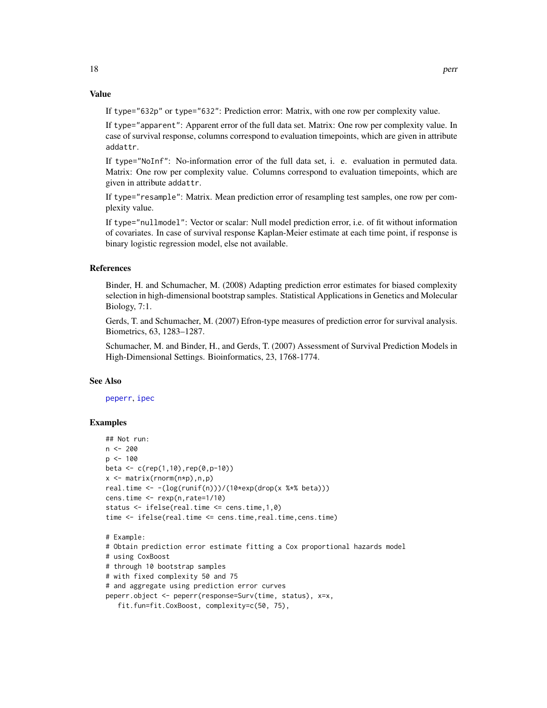#### <span id="page-17-0"></span>Value

If type="632p" or type="632": Prediction error: Matrix, with one row per complexity value.

If type="apparent": Apparent error of the full data set. Matrix: One row per complexity value. In case of survival response, columns correspond to evaluation timepoints, which are given in attribute addattr.

If type="NoInf": No-information error of the full data set, i. e. evaluation in permuted data. Matrix: One row per complexity value. Columns correspond to evaluation timepoints, which are given in attribute addattr.

If type="resample": Matrix. Mean prediction error of resampling test samples, one row per complexity value.

If type="nullmodel": Vector or scalar: Null model prediction error, i.e. of fit without information of covariates. In case of survival response Kaplan-Meier estimate at each time point, if response is binary logistic regression model, else not available.

# References

Binder, H. and Schumacher, M. (2008) Adapting prediction error estimates for biased complexity selection in high-dimensional bootstrap samples. Statistical Applications in Genetics and Molecular Biology, 7:1.

Gerds, T. and Schumacher, M. (2007) Efron-type measures of prediction error for survival analysis. Biometrics, 63, 1283–1287.

Schumacher, M. and Binder, H., and Gerds, T. (2007) Assessment of Survival Prediction Models in High-Dimensional Settings. Bioinformatics, 23, 1768-1774.

#### See Also

[peperr](#page-9-1), [ipec](#page-7-1)

# Examples

```
## Not run:
n <- 200
p \le -100beta <- c(rep(1,10),rep(0,p-10))
x \leq - matrix(rnorm(n*p), n,p)
real.time \leftarrow -(\log(runif(n)))/(10*exp(drop(x %*)beta)))cens.time <- rexp(n,rate=1/10)
status <- ifelse(real.time <= cens.time,1,0)
time <- ifelse(real.time <= cens.time,real.time,cens.time)
# Example:
# Obtain prediction error estimate fitting a Cox proportional hazards model
# using CoxBoost
# through 10 bootstrap samples
# with fixed complexity 50 and 75
# and aggregate using prediction error curves
peperr.object <- peperr(response=Surv(time, status), x=x,
   fit.fun=fit.CoxBoost, complexity=c(50, 75),
```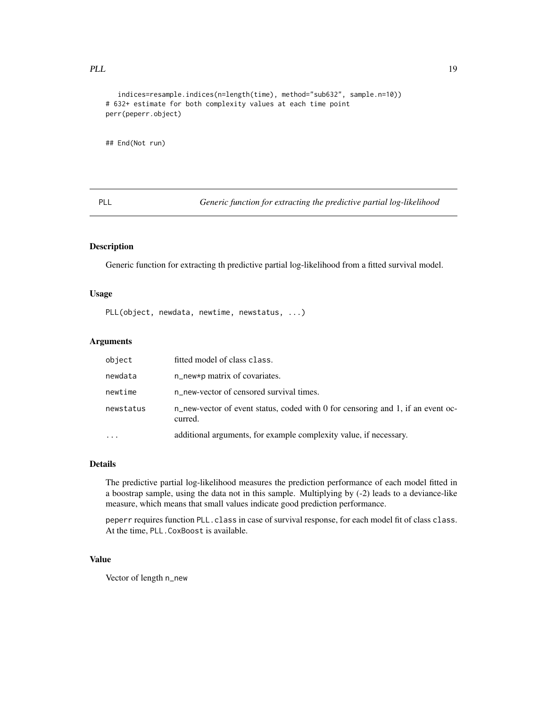# <span id="page-18-0"></span>PLL 19

```
indices=resample.indices(n=length(time), method="sub632", sample.n=10))
# 632+ estimate for both complexity values at each time point
perr(peperr.object)
```
## End(Not run)

PLL *Generic function for extracting the predictive partial log-likelihood*

# Description

Generic function for extracting th predictive partial log-likelihood from a fitted survival model.

# Usage

PLL(object, newdata, newtime, newstatus, ...)

# Arguments

| object    | fitted model of class class.                                                               |
|-----------|--------------------------------------------------------------------------------------------|
| newdata   | $n$ new*p matrix of covariates.                                                            |
| newtime   | n_new-vector of censored survival times.                                                   |
| newstatus | n_new-vector of event status, coded with 0 for censoring and 1, if an event oc-<br>curred. |
|           | additional arguments, for example complexity value, if necessary.                          |

# Details

The predictive partial log-likelihood measures the prediction performance of each model fitted in a boostrap sample, using the data not in this sample. Multiplying by (-2) leads to a deviance-like measure, which means that small values indicate good prediction performance.

peperr requires function PLL.class in case of survival response, for each model fit of class class. At the time, PLL.CoxBoost is available.

# Value

Vector of length n\_new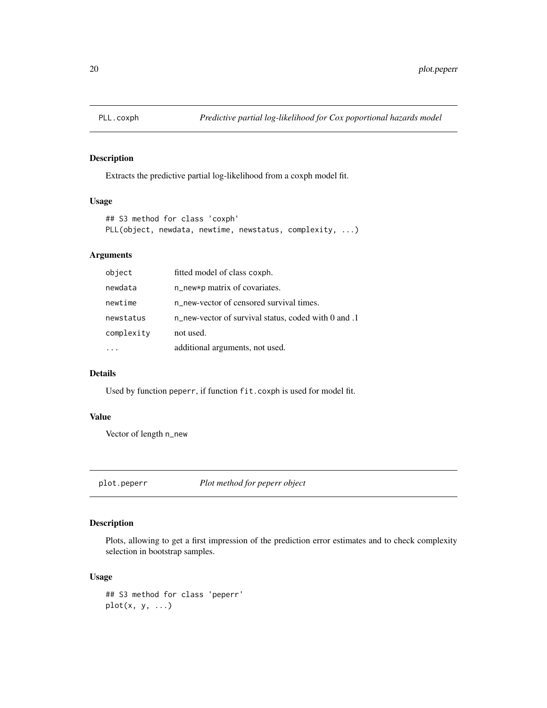<span id="page-19-0"></span>

# Description

Extracts the predictive partial log-likelihood from a coxph model fit.

# Usage

```
## S3 method for class 'coxph'
PLL(object, newdata, newtime, newstatus, complexity, ...)
```
# Arguments

| object     | fitted model of class coxph.                         |
|------------|------------------------------------------------------|
| newdata    | n_new*p matrix of covariates.                        |
| newtime    | n new-vector of censored survival times.             |
| newstatus  | n_new-vector of survival status, coded with 0 and .1 |
| complexity | not used.                                            |
|            | additional arguments, not used.                      |

# Details

Used by function peperr, if function fit.coxph is used for model fit.

# Value

Vector of length n\_new

plot.peperr *Plot method for peperr object*

# Description

Plots, allowing to get a first impression of the prediction error estimates and to check complexity selection in bootstrap samples.

# Usage

```
## S3 method for class 'peperr'
plot(x, y, ...)
```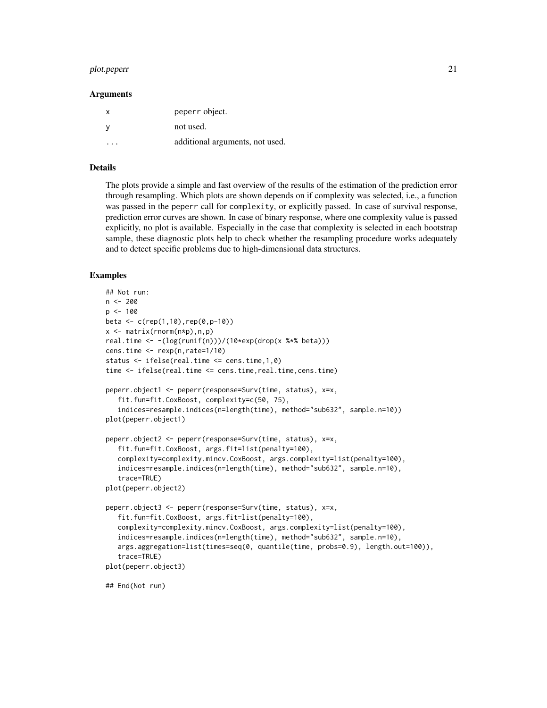#### plot.peperr 21

#### Arguments

| x | peperr object.                  |
|---|---------------------------------|
| v | not used.                       |
| . | additional arguments, not used. |

#### Details

The plots provide a simple and fast overview of the results of the estimation of the prediction error through resampling. Which plots are shown depends on if complexity was selected, i.e., a function was passed in the peperr call for complexity, or explicitly passed. In case of survival response, prediction error curves are shown. In case of binary response, where one complexity value is passed explicitly, no plot is available. Especially in the case that complexity is selected in each bootstrap sample, these diagnostic plots help to check whether the resampling procedure works adequately and to detect specific problems due to high-dimensional data structures.

#### Examples

```
## Not run:
n < -200p \le -100beta \leq c(rep(1,10),rep(0,p-10))
x <- matrix(rnorm(n*p),n,p)
real.time <- -(\log(runif(n)))/(10*exp(drop(x **)beta)))cens.time \leq rexp(n, rate=1/10)
status <- ifelse(real.time <= cens.time,1,0)
time <- ifelse(real.time <= cens.time,real.time,cens.time)
peperr.object1 <- peperr(response=Surv(time, status), x=x,
   fit.fun=fit.CoxBoost, complexity=c(50, 75),
   indices=resample.indices(n=length(time), method="sub632", sample.n=10))
plot(peperr.object1)
peperr.object2 <- peperr(response=Surv(time, status), x=x,
   fit.fun=fit.CoxBoost, args.fit=list(penalty=100),
   complexity=complexity.mincv.CoxBoost, args.complexity=list(penalty=100),
   indices=resample.indices(n=length(time), method="sub632", sample.n=10),
   trace=TRUE)
plot(peperr.object2)
peperr.object3 <- peperr(response=Surv(time, status), x=x,
   fit.fun=fit.CoxBoost, args.fit=list(penalty=100),
   complexity=complexity.mincv.CoxBoost, args.complexity=list(penalty=100),
   indices=resample.indices(n=length(time), method="sub632", sample.n=10),
   args.aggregation=list(times=seq(0, quantile(time, probs=0.9), length.out=100)),
   trace=TRUE)
plot(peperr.object3)
## End(Not run)
```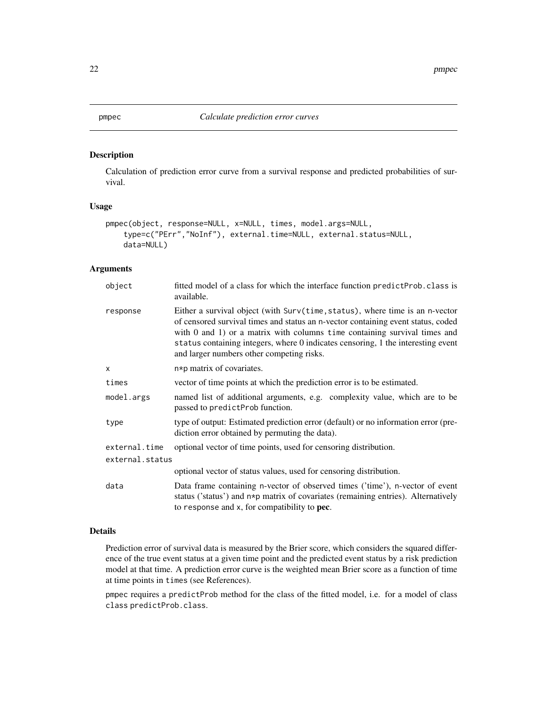# <span id="page-21-0"></span>Description

Calculation of prediction error curve from a survival response and predicted probabilities of survival.

# Usage

```
pmpec(object, response=NULL, x=NULL, times, model.args=NULL,
    type=c("PErr","NoInf"), external.time=NULL, external.status=NULL,
   data=NULL)
```
# Arguments

| object          | fitted model of a class for which the interface function predict Prob. class is<br>available.                                                                                                                                                                                                                                                                                       |
|-----------------|-------------------------------------------------------------------------------------------------------------------------------------------------------------------------------------------------------------------------------------------------------------------------------------------------------------------------------------------------------------------------------------|
| response        | Either a survival object (with Surv(time, status), where time is an n-vector<br>of censored survival times and status an n-vector containing event status, coded<br>with $0$ and $1$ ) or a matrix with columns time containing survival times and<br>status containing integers, where 0 indicates censoring, 1 the interesting event<br>and larger numbers other competing risks. |
| x               | n*p matrix of covariates.                                                                                                                                                                                                                                                                                                                                                           |
| times           | vector of time points at which the prediction error is to be estimated.                                                                                                                                                                                                                                                                                                             |
| model.args      | named list of additional arguments, e.g. complexity value, which are to be<br>passed to predictProb function.                                                                                                                                                                                                                                                                       |
| type            | type of output: Estimated prediction error (default) or no information error (pre-<br>diction error obtained by permuting the data).                                                                                                                                                                                                                                                |
| external.time   | optional vector of time points, used for censoring distribution.                                                                                                                                                                                                                                                                                                                    |
| external.status |                                                                                                                                                                                                                                                                                                                                                                                     |
|                 | optional vector of status values, used for censoring distribution.                                                                                                                                                                                                                                                                                                                  |
| data            | Data frame containing n-vector of observed times ('time'), n-vector of event<br>status ('status') and n*p matrix of covariates (remaining entries). Alternatively<br>to response and $x$ , for compatibility to <b>pec</b> .                                                                                                                                                        |

#### Details

Prediction error of survival data is measured by the Brier score, which considers the squared difference of the true event status at a given time point and the predicted event status by a risk prediction model at that time. A prediction error curve is the weighted mean Brier score as a function of time at time points in times (see References).

pmpec requires a predictProb method for the class of the fitted model, i.e. for a model of class class predictProb.class.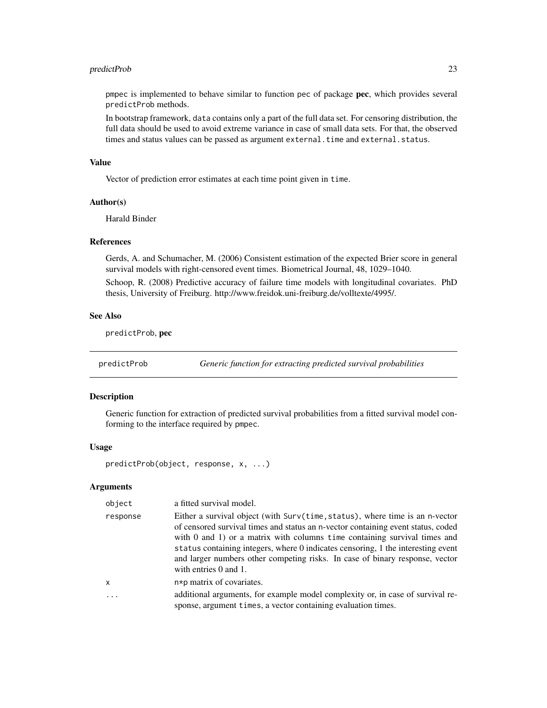# <span id="page-22-0"></span>predictProb 23

pmpec is implemented to behave similar to function pec of package pec, which provides several predictProb methods.

In bootstrap framework, data contains only a part of the full data set. For censoring distribution, the full data should be used to avoid extreme variance in case of small data sets. For that, the observed times and status values can be passed as argument external.time and external.status.

# Value

Vector of prediction error estimates at each time point given in time.

#### Author(s)

Harald Binder

# References

Gerds, A. and Schumacher, M. (2006) Consistent estimation of the expected Brier score in general survival models with right-censored event times. Biometrical Journal, 48, 1029–1040.

Schoop, R. (2008) Predictive accuracy of failure time models with longitudinal covariates. PhD thesis, University of Freiburg. http://www.freidok.uni-freiburg.de/volltexte/4995/.

#### See Also

predictProb, pec

predictProb *Generic function for extracting predicted survival probabilities*

#### Description

Generic function for extraction of predicted survival probabilities from a fitted survival model conforming to the interface required by pmpec.

#### Usage

predictProb(object, response, x, ...)

# Arguments

| object       | a fitted survival model.                                                                                                                                                                                                                                                                                                                                                                                                                        |
|--------------|-------------------------------------------------------------------------------------------------------------------------------------------------------------------------------------------------------------------------------------------------------------------------------------------------------------------------------------------------------------------------------------------------------------------------------------------------|
| response     | Either a survival object (with Surv(time, status), where time is an n-vector<br>of censored survival times and status an n-vector containing event status, coded<br>with $0$ and $1$ ) or a matrix with columns time containing survival times and<br>status containing integers, where 0 indicates censoring, 1 the interesting event<br>and larger numbers other competing risks. In case of binary response, vector<br>with entries 0 and 1. |
| $\mathsf{x}$ | n*p matrix of covariates.                                                                                                                                                                                                                                                                                                                                                                                                                       |
| .            | additional arguments, for example model complexity or, in case of survival re-<br>sponse, argument times, a vector containing evaluation times.                                                                                                                                                                                                                                                                                                 |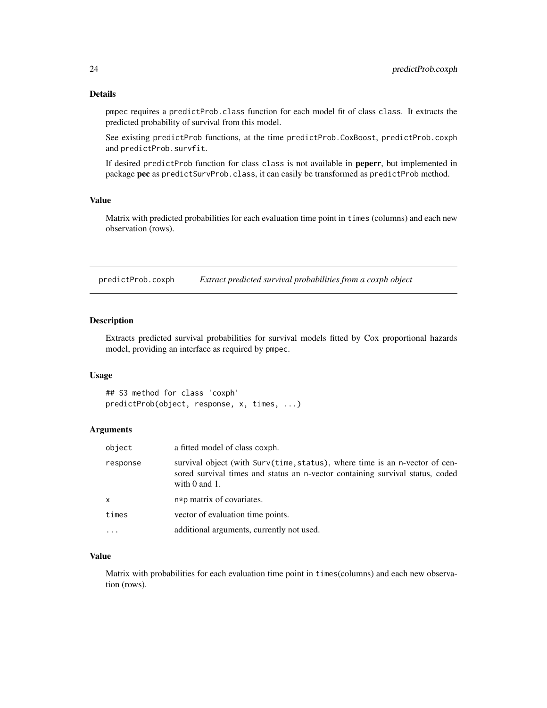<span id="page-23-0"></span>pmpec requires a predictProb.class function for each model fit of class class. It extracts the predicted probability of survival from this model.

See existing predictProb functions, at the time predictProb.CoxBoost, predictProb.coxph and predictProb.survfit.

If desired predictProb function for class class is not available in peperr, but implemented in package pec as predictSurvProb.class, it can easily be transformed as predictProb method.

#### Value

Matrix with predicted probabilities for each evaluation time point in times (columns) and each new observation (rows).

predictProb.coxph *Extract predicted survival probabilities from a coxph object*

#### Description

Extracts predicted survival probabilities for survival models fitted by Cox proportional hazards model, providing an interface as required by pmpec.

#### Usage

## S3 method for class 'coxph' predictProb(object, response, x, times, ...)

#### Arguments

| object   | a fitted model of class coxph.                                                                                                                                                     |
|----------|------------------------------------------------------------------------------------------------------------------------------------------------------------------------------------|
| response | survival object (with Surv(time, status), where time is an n-vector of cen-<br>sored survival times and status an n-vector containing survival status, coded<br>with $0$ and $1$ . |
| x        | n*p matrix of covariates.                                                                                                                                                          |
| times    | vector of evaluation time points.                                                                                                                                                  |
| .        | additional arguments, currently not used.                                                                                                                                          |

#### Value

Matrix with probabilities for each evaluation time point in times(columns) and each new observation (rows).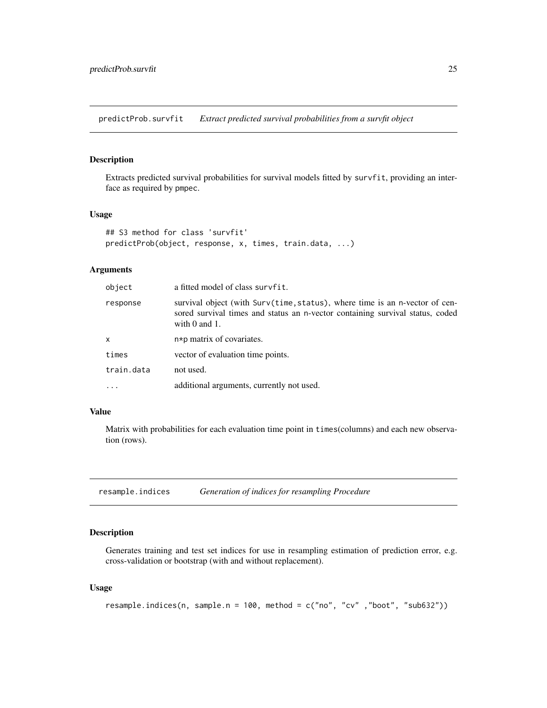<span id="page-24-0"></span>predictProb.survfit *Extract predicted survival probabilities from a survfit object*

#### Description

Extracts predicted survival probabilities for survival models fitted by survfit, providing an interface as required by pmpec.

#### Usage

```
## S3 method for class 'survfit'
predictProb(object, response, x, times, train.data, ...)
```
#### Arguments

| object     | a fitted model of class survfit.                                                                                                                                                   |
|------------|------------------------------------------------------------------------------------------------------------------------------------------------------------------------------------|
| response   | survival object (with Surv(time, status), where time is an n-vector of cen-<br>sored survival times and status an n-vector containing survival status, coded<br>with $0$ and $1$ . |
| x          | n*p matrix of covariates.                                                                                                                                                          |
| times      | vector of evaluation time points.                                                                                                                                                  |
| train.data | not used.                                                                                                                                                                          |
| $\cdots$   | additional arguments, currently not used.                                                                                                                                          |

# Value

Matrix with probabilities for each evaluation time point in times(columns) and each new observation (rows).

<span id="page-24-1"></span>resample.indices *Generation of indices for resampling Procedure*

# Description

Generates training and test set indices for use in resampling estimation of prediction error, e.g. cross-validation or bootstrap (with and without replacement).

# Usage

```
resample.indices(n, sample.n = 100, method = c("no", "cv", "boot", "sub632"))
```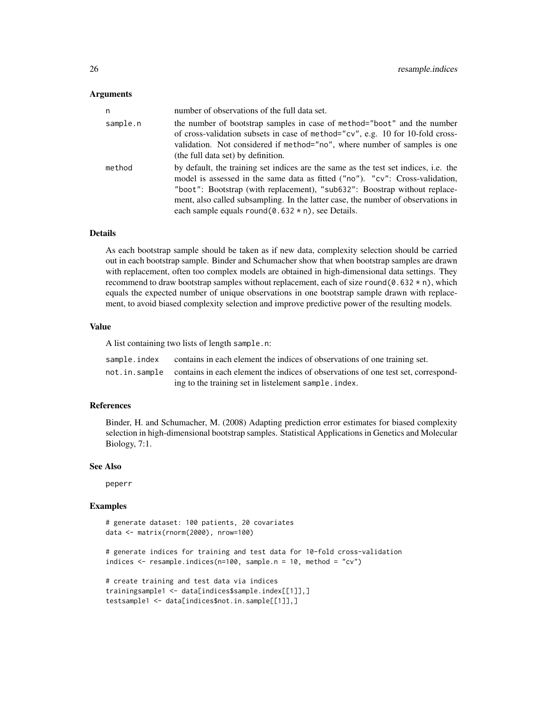# Arguments

| n        | number of observations of the full data set.                                                                                                                                                                                                                                                                                                                                                  |
|----------|-----------------------------------------------------------------------------------------------------------------------------------------------------------------------------------------------------------------------------------------------------------------------------------------------------------------------------------------------------------------------------------------------|
| sample.n | the number of bootstrap samples in case of method="boot" and the number<br>of cross-validation subsets in case of method=" $cv$ ", e.g. 10 for 10-fold cross-<br>validation. Not considered if method="no", where number of samples is one<br>(the full data set) by definition.                                                                                                              |
| method   | by default, the training set indices are the same as the test set indices, i.e. the<br>model is assessed in the same data as fitted ("no"). "cv": Cross-validation,<br>"boot": Bootstrap (with replacement), "sub632": Boostrap without replace-<br>ment, also called subsampling. In the latter case, the number of observations in<br>each sample equals round $(0.632 * n)$ , see Details. |

#### Details

As each bootstrap sample should be taken as if new data, complexity selection should be carried out in each bootstrap sample. Binder and Schumacher show that when bootstrap samples are drawn with replacement, often too complex models are obtained in high-dimensional data settings. They recommend to draw bootstrap samples without replacement, each of size round( $\theta$ .632  $\star$  n), which equals the expected number of unique observations in one bootstrap sample drawn with replacement, to avoid biased complexity selection and improve predictive power of the resulting models.

# Value

A list containing two lists of length sample.n:

| sample.index | contains in each element the indices of observations of one training set.                         |
|--------------|---------------------------------------------------------------------------------------------------|
|              | not. in. sample contains in each element the indices of observations of one test set, correspond- |
|              | ing to the training set in listelement sample. index.                                             |

# References

Binder, H. and Schumacher, M. (2008) Adapting prediction error estimates for biased complexity selection in high-dimensional bootstrap samples. Statistical Applications in Genetics and Molecular Biology, 7:1.

#### See Also

peperr

# Examples

# generate dataset: 100 patients, 20 covariates data <- matrix(rnorm(2000), nrow=100)

```
# generate indices for training and test data for 10-fold cross-validation
indices \leq resample.indices(n=100, sample.n = 10, method = "cv")
```

```
# create training and test data via indices
trainingsample1 <- data[indices$sample.index[[1]],]
testsample1 <- data[indices$not.in.sample[[1]],]
```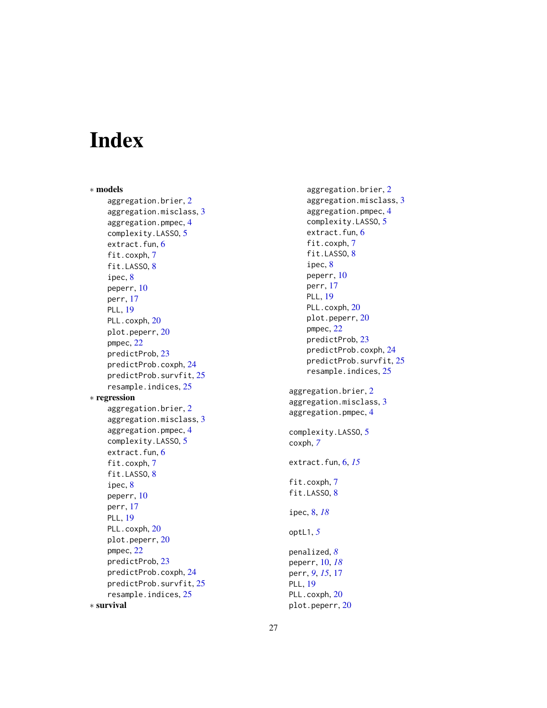# <span id="page-26-0"></span>Index

∗ models aggregation.brier , [2](#page-1-0) aggregation.misclass, [3](#page-2-0) aggregation.pmpec , [4](#page-3-0) complexity.LASSO , [5](#page-4-0) extract.fun, [6](#page-5-0) fit.coxph , [7](#page-6-0) fit.LASSO, [8](#page-7-0) ipec , [8](#page-7-0) peperr , [10](#page-9-0) perr , [17](#page-16-0) PLL , [19](#page-18-0) PLL.coxph, [20](#page-19-0) plot.peperr , [20](#page-19-0) pmpec , [22](#page-21-0) predictProb , [23](#page-22-0) predictProb.coxph , [24](#page-23-0) predictProb.survfit , [25](#page-24-0) resample.indices , [25](#page-24-0) ∗ regression aggregation.brier , [2](#page-1-0) aggregation.misclass , [3](#page-2-0) aggregation.pmpec , [4](#page-3-0) complexity.LASSO , [5](#page-4-0) extract.fun, [6](#page-5-0) fit.coxph , [7](#page-6-0) fit.LASSO, [8](#page-7-0) ipec , [8](#page-7-0) peperr , [10](#page-9-0) perr , [17](#page-16-0) PLL , [19](#page-18-0) PLL.coxph, [20](#page-19-0) plot.peperr , [20](#page-19-0) pmpec , [22](#page-21-0) predictProb , [23](#page-22-0) predictProb.coxph , [24](#page-23-0) predictProb.survfit , [25](#page-24-0) resample.indices , [25](#page-24-0) ∗ survival

aggregation.brier , [2](#page-1-0) aggregation.misclass , [3](#page-2-0) aggregation.pmpec , [4](#page-3-0) complexity.LASSO , [5](#page-4-0) extract.fun, [6](#page-5-0) fit.coxph, [7](#page-6-0) fit.LASSO, [8](#page-7-0) ipec, [8](#page-7-0) peperr , [10](#page-9-0) perr , [17](#page-16-0) PLL , [19](#page-18-0) PLL.coxph, [20](#page-19-0) plot.peperr , [20](#page-19-0) pmpec , [22](#page-21-0) predictProb , [23](#page-22-0) predictProb.coxph , [24](#page-23-0) predictProb.survfit, [25](#page-24-0) resample.indices , [25](#page-24-0) aggregation.brier , [2](#page-1-0) aggregation.misclass , [3](#page-2-0) aggregation.pmpec , [4](#page-3-0) complexity.LASSO , [5](#page-4-0) coxph , *[7](#page-6-0)* extract.fun , [6](#page-5-0) , *[15](#page-14-0)* fit.coxph, [7](#page-6-0) fit.LASSO, [8](#page-7-0) ipec , [8](#page-7-0) , *[18](#page-17-0)* optL1 , *[5](#page-4-0)* penalized , *[8](#page-7-0)* peperr , [10](#page-9-0) , *[18](#page-17-0)* perr , *[9](#page-8-0)* , *[15](#page-14-0)* , [17](#page-16-0) PLL , [19](#page-18-0) PLL.coxph, [20](#page-19-0)

plot.peperr , [20](#page-19-0)